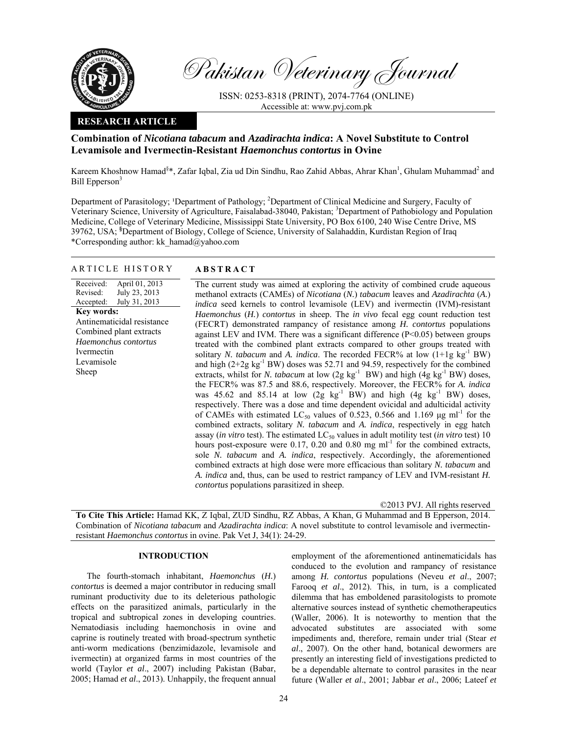

Pakistan Veterinary Journal

ISSN: 0253-8318 (PRINT), 2074-7764 (ONLINE) Accessible at: www.pvj.com.pk

## **RESEARCH ARTICLE**

# **Combination of** *Nicotiana tabacum* **and** *Azadirachta indica***: A Novel Substitute to Control Levamisole and Ivermectin-Resistant** *Haemonchus contortus* **in Ovine**

Kareem Khoshnow Hamad<sup>§\*</sup>, Zafar Iqbal, Zia ud Din Sindhu, Rao Zahid Abbas, Ahrar Khan<sup>1</sup>, Ghulam Muhammad<sup>2</sup> and Bill Epperson<sup>3</sup>

Department of Parasitology; <sup>1</sup>Department of Pathology; <sup>2</sup>Department of Clinical Medicine and Surgery, Faculty of Veterinary Science, University of Agriculture, Faisalabad-38040, Pakistan; <sup>3</sup>Department of Pathobiology and Population Medicine, College of Veterinary Medicine, Mississippi State University, PO Box 6100, 240 Wise Centre Drive, MS 39762, USA; **§** Department of Biology, College of Science, University of Salahaddin, Kurdistan Region of Iraq \*Corresponding author: kk\_hamad@yahoo.com

#### ARTICLE HISTORY **ABSTRACT**

#### Received: Revised: Accepted: April 01, 2013 July 23, 2013 July 31, 2013 **Key words:**  Antinematicidal resistance Combined plant extracts *Haemonchus contortus*  Ivermectin Levamisole Sheep

 The current study was aimed at exploring the activity of combined crude aqueous methanol extracts (CAMEs) of *Nicotiana* (*N.*) *tabacum* leaves and *Azadirachta* (*A.*) *indica* seed kernels to control levamisole (LEV) and ivermectin (IVM)-resistant *Haemonchus* (*H.*) *contortus* in sheep. The *in vivo* fecal egg count reduction test (FECRT) demonstrated rampancy of resistance among *H. contortus* populations against LEV and IVM. There was a significant difference (P<0.05) between groups treated with the combined plant extracts compared to other groups treated with solitary *N. tabacum* and *A. indica*. The recorded FECR% at low (1+1g kg<sup>-1</sup> BW) and high  $(2+2g \text{ kg}^{-1}BW)$  doses was 52.71 and 94.59, respectively for the combined extracts, whilst for *N. tabacum* at low  $(2g \text{ kg}^{-1} \text{ BW})$  and high  $(4g \text{ kg}^{-1} \text{BW})$  doses, the FECR% was 87.5 and 88.6, respectively. Moreover, the FECR% for *A. indica*  was 45.62 and 85.14 at low  $(2g \text{ kg}^{-1} \text{BW})$  and high  $(4g \text{ kg}^{-1} \text{BW})$  doses, respectively. There was a dose and time dependent ovicidal and adulticidal activity of CAMEs with estimated  $LC_{50}$  values of 0.523, 0.566 and 1.169  $\mu$ g ml<sup>-1</sup> for the combined extracts, solitary *N. tabacum* and *A. indica*, respectively in egg hatch assay (*in vitro* test). The estimated  $LC_{50}$  values in adult motility test (*in vitro* test) 10 hours post-exposure were 0.17, 0.20 and 0.80 mg  $ml^{-1}$  for the combined extracts, sole *N. tabacum* and *A. indica*, respectively. Accordingly, the aforementioned combined extracts at high dose were more efficacious than solitary *N. tabacum* and *A. indica* and, thus, can be used to restrict rampancy of LEV and IVM-resistant *H. contortus* populations parasitized in sheep.

©2013 PVJ. All rights reserved

**To Cite This Article:** Hamad KK, Z Iqbal, ZUD Sindhu, RZ Abbas, A Khan, G Muhammad and B Epperson, 2014. Combination of *Nicotiana tabacum* and *Azadirachta indica*: A novel substitute to control levamisole and ivermectinresistant *Haemonchus contortus* in ovine. Pak Vet J, 34(1): 24-29.

## **INTRODUCTION**

The fourth-stomach inhabitant, *Haemonchus* (*H.*) *contortus* is deemed a major contributor in reducing small ruminant productivity due to its deleterious pathologic effects on the parasitized animals, particularly in the tropical and subtropical zones in developing countries. Nematodiasis including haemonchosis in ovine and caprine is routinely treated with broad-spectrum synthetic anti-worm medications (benzimidazole, levamisole and ivermectin) at organized farms in most countries of the world (Taylor *et al*., 2007) including Pakistan (Babar, 2005; Hamad *et al*., 2013). Unhappily, the frequent annual employment of the aforementioned antinematicidals has conduced to the evolution and rampancy of resistance among *H. contortus* populations (Neveu *et al*., 2007; Farooq *et al*., 2012). This, in turn, is a complicated dilemma that has emboldened parasitologists to promote alternative sources instead of synthetic chemotherapeutics (Waller, 2006). It is noteworthy to mention that the advocated substitutes are associated with some impediments and, therefore, remain under trial (Stear *et al*., 2007). On the other hand, botanical dewormers are presently an interesting field of investigations predicted to be a dependable alternate to control parasites in the near future (Waller *et al*., 2001; Jabbar *et al*., 2006; Lateef *et*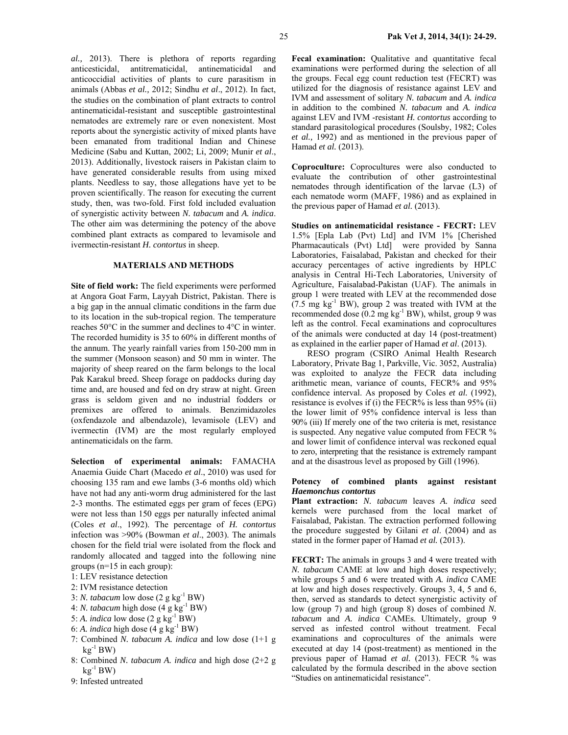*al.,* 2013). There is plethora of reports regarding anticesticidal, antitrematicidal, antinematicidal and anticoccidial activities of plants to cure parasitism in animals (Abbas *et al.,* 2012; Sindhu *et al*., 2012). In fact, the studies on the combination of plant extracts to control antinematicidal-resistant and susceptible gastrointestinal nematodes are extremely rare or even nonexistent. Most reports about the synergistic activity of mixed plants have been emanated from traditional Indian and Chinese Medicine (Sabu and Kuttan, 2002; Li, 2009; Munir *et al*., 2013). Additionally, livestock raisers in Pakistan claim to have generated considerable results from using mixed plants. Needless to say, those allegations have yet to be proven scientifically. The reason for executing the current study, then, was two-fold. First fold included evaluation of synergistic activity between *N. tabacum* and *A. indica*. The other aim was determining the potency of the above combined plant extracts as compared to levamisole and ivermectin-resistant *H. contortus* in sheep.

#### **MATERIALS AND METHODS**

**Site of field work:** The field experiments were performed at Angora Goat Farm, Layyah District, Pakistan. There is a big gap in the annual climatic conditions in the farm due to its location in the sub-tropical region. The temperature reaches 50°C in the summer and declines to 4°C in winter. The recorded humidity is 35 to 60% in different months of the annum. The yearly rainfall varies from 150-200 mm in the summer (Monsoon season) and 50 mm in winter. The majority of sheep reared on the farm belongs to the local Pak Karakul breed. Sheep forage on paddocks during day time and, are housed and fed on dry straw at night. Green grass is seldom given and no industrial fodders or premixes are offered to animals. Benzimidazoles (oxfendazole and albendazole), levamisole (LEV) and ivermectin (IVM) are the most regularly employed antinematicidals on the farm.

**Selection of experimental animals:** FAMACHA Anaemia Guide Chart (Macedo *et al*., 2010) was used for choosing 135 ram and ewe lambs (3-6 months old) which have not had any anti-worm drug administered for the last 2-3 months. The estimated eggs per gram of feces (EPG) were not less than 150 eggs per naturally infected animal (Coles *et al*., 1992). The percentage of *H. contortus* infection was >90% (Bowman *et al*., 2003). The animals chosen for the field trial were isolated from the flock and randomly allocated and tagged into the following nine groups (n=15 in each group):

- 1: LEV resistance detection
- 2: IVM resistance detection
- 3: *N. tabacum* low dose  $(2 g kg^{-1}BW)$
- 4: *N. tabacum* high dose  $(4 g kg^{-1}BW)$
- 5: *A. indica* low dose  $(2 \nvert g \nvert kg^{-1}BW)$
- 6: A. *indica* high dose  $(4 \text{ g kg}^{-1}BW)$
- 7: Combined *N. tabacum A. indica* and low dose (1+1 g  $kg^{-1}$  BW)
- 8: Combined *N. tabacum A. indica* and high dose (2+2 g  $k\mathfrak{g}^{-1}$  BW)
- 9: Infested untreated

**Fecal examination:** Qualitative and quantitative fecal examinations were performed during the selection of all the groups. Fecal egg count reduction test (FECRT) was utilized for the diagnosis of resistance against LEV and IVM and assessment of solitary *N. tabacum* and *A. indica* in addition to the combined *N. tabacum* and *A. indica* against LEV and IVM -resistant *H. contortus* according to standard parasitological procedures (Soulsby, 1982; Coles *et al.,* 1992) and as mentioned in the previous paper of Hamad *et al.* (2013).

**Coproculture:** Coprocultures were also conducted to evaluate the contribution of other gastrointestinal nematodes through identification of the larvae (L3) of each nematode worm (MAFF, 1986) and as explained in the previous paper of Hamad *et al.* (2013).

**Studies on antinematicidal resistance - FECRT:** LEV 1.5% [Epla Lab (Pvt) Ltd] and IVM 1% [Cherished Pharmacauticals (Pvt) Ltd] were provided by Sanna Laboratories, Faisalabad, Pakistan and checked for their accuracy percentages of active ingredients by HPLC analysis in Central Hi-Tech Laboratories, University of Agriculture, Faisalabad-Pakistan (UAF). The animals in group 1 were treated with LEV at the recommended dose  $(7.5 \text{ mg kg}^{-1}$  BW), group 2 was treated with IVM at the recommended dose  $(0.2 \text{ mg kg}^{-1} \text{BW})$ , whilst, group 9 was left as the control. Fecal examinations and coprocultures of the animals were conducted at day 14 (post-treatment) as explained in the earlier paper of Hamad *et al*. (2013).

RESO program (CSIRO Animal Health Research Laboratory, Private Bag 1, Parkville, Vic. 3052, Australia) was exploited to analyze the FECR data including arithmetic mean, variance of counts, FECR% and 95% confidence interval. As proposed by Coles *et al.* (1992), resistance is evolves if (i) the FECR% is less than 95% (ii) the lower limit of 95% confidence interval is less than 90% (iii) If merely one of the two criteria is met, resistance is suspected. Any negative value computed from FECR % and lower limit of confidence interval was reckoned equal to zero, interpreting that the resistance is extremely rampant and at the disastrous level as proposed by Gill (1996).

#### **Potency of combined plants against resistant**  *Haemonchus contortus*

**Plant extraction:** *N. tabacum* leaves *A. indica* seed kernels were purchased from the local market of Faisalabad, Pakistan. The extraction performed following the procedure suggested by Gilani *et al*. (2004) and as stated in the former paper of Hamad *et al.* (2013).

**FECRT:** The animals in groups 3 and 4 were treated with *N. tabacum* CAME at low and high doses respectively; while groups 5 and 6 were treated with *A. indica* CAME at low and high doses respectively. Groups 3, 4, 5 and 6, then, served as standards to detect synergistic activity of low (group 7) and high (group 8) doses of combined *N. tabacum* and *A. indica* CAMEs. Ultimately, group 9 served as infested control without treatment. Fecal examinations and coprocultures of the animals were executed at day 14 (post-treatment) as mentioned in the previous paper of Hamad *et al.* (2013). FECR % was calculated by the formula described in the above section "Studies on antinematicidal resistance".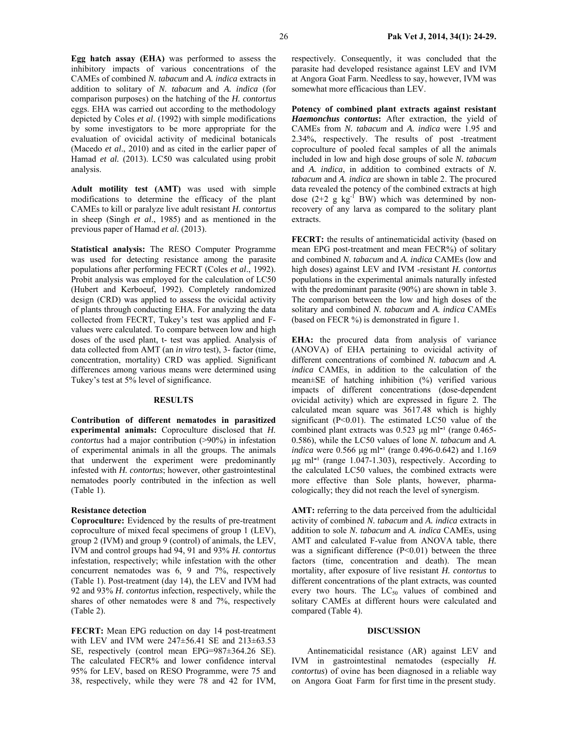**Egg hatch assay (EHA)** was performed to assess the inhibitory impacts of various concentrations of the CAMEs of combined *N. tabacum* and *A. indica* extracts in addition to solitary of *N. tabacum* and *A. indica* (for comparison purposes) on the hatching of the *H. contortus* eggs. EHA was carried out according to the methodology depicted by Coles *et al*. (1992) with simple modifications by some investigators to be more appropriate for the evaluation of ovicidal activity of medicinal botanicals (Macedo *et al*., 2010) and as cited in the earlier paper of Hamad *et al.* (2013). LC50 was calculated using probit analysis.

**Adult motility test (AMT)** was used with simple modifications to determine the efficacy of the plant CAMEs to kill or paralyze live adult resistant *H. contortus* in sheep (Singh *et al*., 1985) and as mentioned in the previous paper of Hamad *et al.* (2013).

**Statistical analysis:** The RESO Computer Programme was used for detecting resistance among the parasite populations after performing FECRT (Coles *et al*., 1992). Probit analysis was employed for the calculation of LC50 (Hubert and Kerboeuf, 1992). Completely randomized design (CRD) was applied to assess the ovicidal activity of plants through conducting EHA. For analyzing the data collected from FECRT, Tukey's test was applied and Fvalues were calculated. To compare between low and high doses of the used plant, t- test was applied. Analysis of data collected from AMT (an *in vitro* test), 3- factor (time, concentration, mortality) CRD was applied. Significant differences among various means were determined using Tukey's test at 5% level of significance.

#### **RESULTS**

**Contribution of different nematodes in parasitized experimental animals:** Coproculture disclosed that *H. contortus* had a major contribution (>90%) in infestation of experimental animals in all the groups. The animals that underwent the experiment were predominantly infested with *H. contortus*; however, other gastrointestinal nematodes poorly contributed in the infection as well (Table 1).

#### **Resistance detection**

**Coproculture:** Evidenced by the results of pre-treatment coproculture of mixed fecal specimens of group 1 (LEV), group 2 (IVM) and group 9 (control) of animals, the LEV, IVM and control groups had 94, 91 and 93% *H. contortus* infestation, respectively; while infestation with the other concurrent nematodes was 6, 9 and 7%, respectively (Table 1). Post-treatment (day 14), the LEV and IVM had 92 and 93% *H. contortus* infection, respectively, while the shares of other nematodes were 8 and 7%, respectively (Table 2).

**FECRT:** Mean EPG reduction on day 14 post-treatment with LEV and IVM were  $247\pm56.41$  SE and  $213\pm63.53$ SE, respectively (control mean EPG=987±364.26 SE). The calculated FECR% and lower confidence interval 95% for LEV, based on RESO Programme, were 75 and 38, respectively, while they were 78 and 42 for IVM,

respectively. Consequently, it was concluded that the parasite had developed resistance against LEV and IVM at Angora Goat Farm. Needless to say, however, IVM was somewhat more efficacious than LEV.

**Potency of combined plant extracts against resistant**  *Haemonchus contortus***:** After extraction, the yield of CAMEs from *N. tabacum* and *A. indica* were 1.95 and 2.34%, respectively. The results of post -treatment coproculture of pooled fecal samples of all the animals included in low and high dose groups of sole *N. tabacum*  and *A. indica*, in addition to combined extracts of *N. tabacum* and *A. indica* are shown in table 2. The procured data revealed the potency of the combined extracts at high dose  $(2+2 \text{ g kg}^{-1} \text{BW})$  which was determined by nonrecovery of any larva as compared to the solitary plant extracts.

FECRT: the results of antinematicidal activity (based on mean EPG post-treatment and mean FECR%) of solitary and combined *N. tabacum* and *A. indica* CAMEs (low and high doses) against LEV and IVM -resistant *H. contortus* populations in the experimental animals naturally infested with the predominant parasite (90%) are shown in table 3. The comparison between the low and high doses of the solitary and combined *N. tabacum* and *A. indica* CAMEs (based on FECR %) is demonstrated in figure 1.

EHA: the procured data from analysis of variance (ANOVA) of EHA pertaining to ovicidal activity of different concentrations of combined *N. tabacum* and *A. indica* CAMEs, in addition to the calculation of the mean±SE of hatching inhibition (%) verified various impacts of different concentrations (dose-dependent ovicidal activity) which are expressed in figure 2. The calculated mean square was 3617.48 which is highly significant (P<0.01). The estimated LC50 value of the combined plant extracts was  $0.523 \mu g$  ml<sup>-1</sup> (range 0.465-0.586), while the LC50 values of lone *N. tabacum* and *A. indica* were 0.566 µg ml<sup>-1</sup> (range 0.496-0.642) and 1.169  $\mu$ g ml<sup>-1</sup> (range 1.047-1.303), respectively. According to the calculated LC50 values, the combined extracts were more effective than Sole plants, however, pharmacologically; they did not reach the level of synergism.

**AMT:** referring to the data perceived from the adulticidal activity of combined *N. tabacum* and *A. indica* extracts in addition to sole *N. tabacum* and *A. indica* CAMEs, using AMT and calculated F-value from ANOVA table, there was a significant difference  $(P<0.01)$  between the three factors (time, concentration and death). The mean mortality, after exposure of live resistant *H. contortus* to different concentrations of the plant extracts, was counted every two hours. The  $LC_{50}$  values of combined and solitary CAMEs at different hours were calculated and compared (Table 4).

#### **DISCUSSION**

Antinematicidal resistance (AR) against LEV and IVM in gastrointestinal nematodes (especially *H. contortus*) of ovine has been diagnosed in a reliable way on Angora Goat Farm for first time in the present study.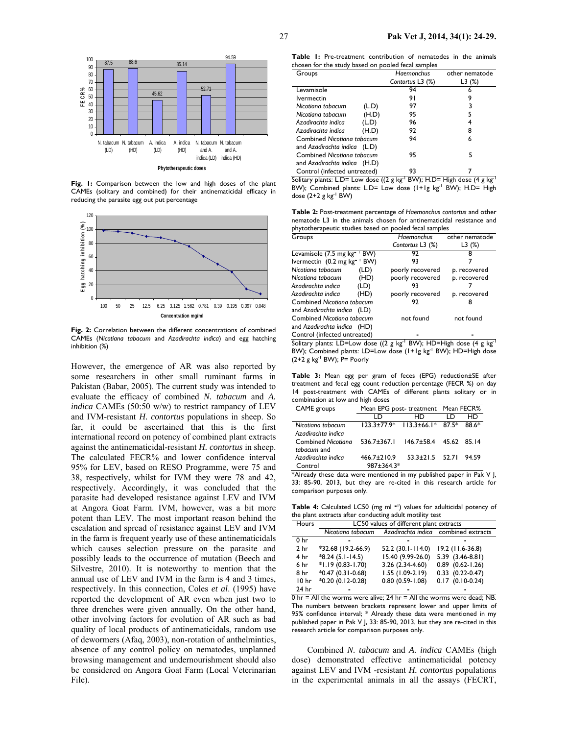

**Fig. 1:** Comparison between the low and high doses of the plant CAMEs (solitary and combined) for their antinematicidal efficacy in reducing the parasite egg out put percentage



Fig. 2: Correlation between the different concentrations of combined CAMEs (*Nicotiana tabacum* and *Azadirachta indica*) and egg hatching inhibition (%)

However, the emergence of AR was also reported by some researchers in other small ruminant farms in Pakistan (Babar, 2005). The current study was intended to evaluate the efficacy of combined *N. tabacum* and *A. indica* CAMEs (50:50 w/w) to restrict rampancy of LEV and IVM-resistant *H. contortus* populations in sheep. So far, it could be ascertained that this is the first international record on potency of combined plant extracts against the antinematicidal-resistant *H. contortus* in sheep. The calculated FECR% and lower confidence interval 95% for LEV, based on RESO Programme, were 75 and 38, respectively, whilst for IVM they were 78 and 42, respectively. Accordingly, it was concluded that the parasite had developed resistance against LEV and IVM at Angora Goat Farm. IVM, however, was a bit more potent than LEV. The most important reason behind the escalation and spread of resistance against LEV and IVM in the farm is frequent yearly use of these antinematicidals which causes selection pressure on the parasite and possibly leads to the occurrence of mutation (Beech and Silvestre, 2010). It is noteworthy to mention that the annual use of LEV and IVM in the farm is 4 and 3 times, respectively. In this connection, Coles *et al*. (1995) have reported the development of AR even when just two to three drenches were given annually. On the other hand, other involving factors for evolution of AR such as bad quality of local products of antinematicidals, random use of dewormers (Afaq, 2003), non-rotation of anthelmintics, absence of any control policy on nematodes, unplanned browsing management and undernourishment should also be considered on Angora Goat Farm (Local Veterinarian File).

|  | <b>Table 1:</b> Pre-treatment contribution of nematodes in the animals |  |  |  |  |
|--|------------------------------------------------------------------------|--|--|--|--|
|  | chosen for the study based on pooled fecal samples                     |  |  |  |  |

| Groups                       |       | <b>Haemonchus</b> | other nematode |
|------------------------------|-------|-------------------|----------------|
|                              |       | Contortus L3 (%)  | L3 (%)         |
| Levamisole                   |       | 94                | 6              |
| lvermectin                   |       | 91                | 9              |
| Nicotiana tabacum            | (L.D) | 97                | 3              |
| Nicotiana tabacum            | (H.D) | 95                | 5              |
| Azadirachta indica           | (L.D) | 96                |                |
| Azadirachta indica           | (H.D) | 92                | 8              |
| Combined Nicotiana tabacum   |       | 94                | 6              |
| and Azadirachta indica (L.D) |       |                   |                |
| Combined Nicotiana tabacum   |       | 95                | 5              |
| and Azadirachta indica (H.D) |       |                   |                |
| Control (infected untreated) |       | 93                |                |

Solitary plants: L.D= Low dose ((2 g kg<sup>-1</sup> BW); H.D= High dose (4 g kg<sup>-1</sup> BW); Combined plants: L.D= Low dose (1+1g kg<sup>-1</sup> BW); H.D= High dose  $(2+2$  g kg<sup>-1</sup> BW)

**Table 2:** Post-treatment percentage of *Haemonchus contortus* and other nematode L3 in the animals chosen for antinematicidal resistance and phytotherapeutic studies based on pooled fecal samples

| Groups                                  | Haemonchus       | other nematode |  |  |
|-----------------------------------------|------------------|----------------|--|--|
|                                         | Contortus L3 (%) | L3(%)          |  |  |
| Levamisole (7.5 mg kg <sup>-</sup> 'BW) | 92               | 8              |  |  |
| Ivermectin (0.2 mg kg <sup>-</sup> BW)  | 93               |                |  |  |
| Nicotiana tabacum<br>(LD)               | poorly recovered | p. recovered   |  |  |
| (HD)<br>Nicotiana tabacum               | poorly recovered | p. recovered   |  |  |
| Azadirachta indica<br>(LD)              | 93               |                |  |  |
| Azadirachta indica<br>(HD)              | poorly recovered | p. recovered   |  |  |
| Combined Nicotiana tabacum              | 92               |                |  |  |
| and Azadirachta indica (LD)             |                  |                |  |  |
| Combined Nicotiana tabacum              | not found        | not found      |  |  |
| and Azadirachta indica (HD)             |                  |                |  |  |
| Control (infected untreated)            |                  |                |  |  |

Solitary plants: LD=Low dose ((2 g kg<sup>-1</sup> BW); HD=High dose (4 g kg<sup>-1</sup> BW); Combined plants: LD=Low dose (1+1g kg<sup>-1</sup> BW); HD=High dose  $(2+2$  g kg<sup>-1</sup> BW); P= Poorly

**Table 3:** Mean egg per gram of feces (EPG) reduction±SE after treatment and fecal egg count reduction percentage (FECR %) on day 14 post-treatment with CAMEs of different plants solitary or in combination at low and high doses

| CAME groups        |                                                  | Mean EPG post-treatment Mean FECR%        |    |       |
|--------------------|--------------------------------------------------|-------------------------------------------|----|-------|
|                    | חו                                               | HD                                        | חו | HD    |
| Nicotiana tabacum  |                                                  | $123.3 \pm 77.9*$ 113.3 $\pm 66.1*$ 87.5* |    | 88.6* |
| Azadirachta indica |                                                  |                                           |    |       |
| Combined Nicotiana | $536.7 \pm 367.1$ $146.7 \pm 58.4$ $45.62$ 85.14 |                                           |    |       |
| tabacum and        |                                                  |                                           |    |       |
| Azadirachta indica | $466.7 \pm 210.9$                                | $53.3 \pm 21.5$ $52.71$                   |    | 94.59 |
| Control            | 987±364.3*                                       |                                           |    |       |

\*Already these data were mentioned in my published paper in Pak V J, 33: 85-90, 2013, but they are re-cited in this research article for comparison purposes only.

Table 4: Calculated LC50 (mg ml <sup>-1</sup>) values for adulticidal potency of the plant extracts after conducting adult motility test

| Hours            | LC50 values of different plant extracts |                     |                                      |  |  |  |
|------------------|-----------------------------------------|---------------------|--------------------------------------|--|--|--|
|                  | Nicotiana tabacum                       |                     | Azadirachta indica combined extracts |  |  |  |
| 0 <sub>hr</sub>  |                                         |                     |                                      |  |  |  |
| 2 <sub>hr</sub>  | $*32.68$ (19.2-66.9)                    | 52.2 (30.1-114.0)   | 19.2 (11.6-36.8)                     |  |  |  |
| 4 hr             | $*8.24(5.1-14.5)$                       | 15.40 (9.99-26.0)   | $5.39$ $(3.46 - 8.81)$               |  |  |  |
| 6 hr             | $*1.19(0.83 - 1.70)$                    | 3.26 (2.34-4.60)    | $0.89$ $(0.62 - 1.26)$               |  |  |  |
| 8 hr             | $*0.47(0.31-0.68)$                      | $1.55(1.09-2.19)$   | $0.33$ $(0.22-0.47)$                 |  |  |  |
| 10 <sub>hr</sub> | *0.20 (0.12-0.28)                       | $0.80(0.59 - 1.08)$ | $0.17$ $(0.10-0.24)$                 |  |  |  |
| 24 hr            |                                         |                     |                                      |  |  |  |

 $0$  hr = All the worms were alive; 24 hr = All the worms were dead; NB. The numbers between brackets represent lower and upper limits of 95% confidence interval; \* Already these data were mentioned in my published paper in Pak V J, 33: 85-90, 2013, but they are re-cited in this research article for comparison purposes only.

Combined *N. tabacum* and *A. indica* CAMEs (high dose) demonstrated effective antinematicidal potency against LEV and IVM -resistant *H. contortus* populations in the experimental animals in all the assays (FECRT,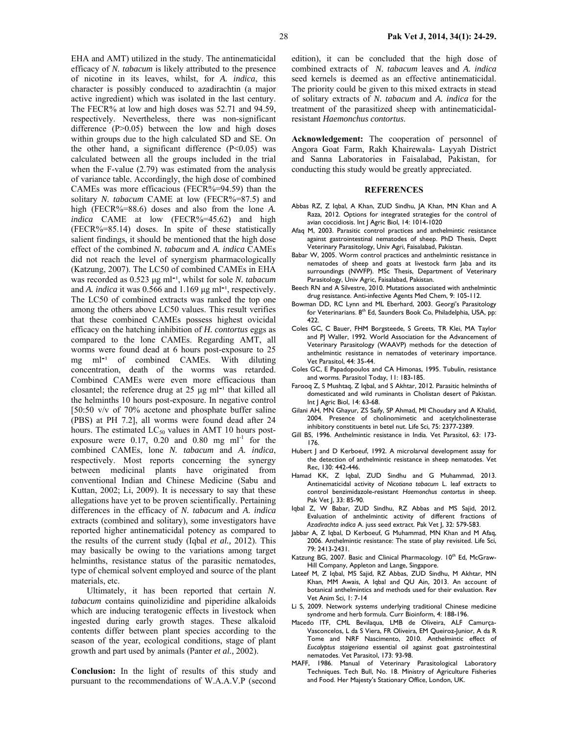EHA and AMT) utilized in the study. The antinematicidal efficacy of *N. tabacum* is likely attributed to the presence of nicotine in its leaves, whilst, for *A. indica*, this character is possibly conduced to azadirachtin (a major active ingredient) which was isolated in the last century. The FECR% at low and high doses was 52.71 and 94.59, respectively. Nevertheless, there was non-significant difference  $(P>0.05)$  between the low and high doses within groups due to the high calculated SD and SE. On the other hand, a significant difference  $(P<0.05)$  was calculated between all the groups included in the trial when the F-value (2.79) was estimated from the analysis of variance table. Accordingly, the high dose of combined CAMEs was more efficacious (FECR%=94.59) than the solitary *N. tabacum* CAME at low (FECR%=87.5) and high (FECR%=88.6) doses and also from the lone *A*. *indica* CAME at low (FECR%=45.62) and high (FECR%=85.14) doses. In spite of these statistically salient findings, it should be mentioned that the high dose effect of the combined *N. tabacum* and *A. indica* CAMEs did not reach the level of synergism pharmacologically (Katzung, 2007). The LC50 of combined CAMEs in EHA was recorded as 0.523 µg ml<sup>-1</sup>, whilst for sole *N. tabacum* and *A. indica* it was 0.566 and 1.169 µg ml<sup>-1</sup>, respectively. The LC50 of combined extracts was ranked the top one among the others above LC50 values. This result verifies that these combined CAMEs possess highest ovicidal efficacy on the hatching inhibition of *H. contortus* eggs as compared to the lone CAMEs. Regarding AMT, all worms were found dead at 6 hours post-exposure to 25 mg  $ml^{-1}$  of combined CAMEs. With diluting concentration, death of the worms was retarded. Combined CAMEs were even more efficacious than closantel; the reference drug at  $25 \text{ µg} \text{ ml}^{-1}$  that killed all the helminths 10 hours post-exposure. In negative control [50:50 v/v of 70% acetone and phosphate buffer saline (PBS) at PH 7.2], all worms were found dead after 24 hours. The estimated  $LC_{50}$  values in AMT 10 hours postexposure were 0.17, 0.20 and 0.80 mg  $ml^{-1}$  for the combined CAMEs, lone *N. tabacum* and *A. indica*, respectively. Most reports concerning the synergy between medicinal plants have originated from conventional Indian and Chinese Medicine (Sabu and Kuttan, 2002; Li, 2009). It is necessary to say that these allegations have yet to be proven scientifically. Pertaining differences in the efficacy of *N. tabacum* and *A. indica*  extracts (combined and solitary), some investigators have reported higher antinematicidal potency as compared to the results of the current study (Iqbal *et al.,* 2012). This may basically be owing to the variations among target helminths, resistance status of the parasitic nematodes, type of chemical solvent employed and source of the plant materials, etc.

Ultimately, it has been reported that certain *N. tabacum* contains quinolizidine and piperidine alkaloids which are inducing teratogenic effects in livestock when ingested during early growth stages. These alkaloid contents differ between plant species according to the season of the year, ecological conditions, stage of plant growth and part used by animals (Panter *et al.,* 2002).

**Conclusion:** In the light of results of this study and pursuant to the recommendations of W.A.A.V.P (second

edition), it can be concluded that the high dose of combined extracts of *N. tabacum* leaves and *A. indica* seed kernels is deemed as an effective antinematicidal. The priority could be given to this mixed extracts in stead of solitary extracts of *N. tabacum* and *A. indica* for the treatment of the parasitized sheep with antinematicidalresistant *Haemonchus contortus*.

**Acknowledgement:** The cooperation of personnel of Angora Goat Farm, Rakh Khairewala- Layyah District and Sanna Laboratories in Faisalabad, Pakistan, for conducting this study would be greatly appreciated.

#### **REFERENCES**

- Abbas RZ, Z Iqbal, A Khan, ZUD Sindhu, JA Khan, MN Khan and A Raza, 2012. Options for integrated strategies for the control of avian coccidiosis. Int J Agric Biol, 14: 1014-1020
- Afaq M, 2003. Parasitic control practices and anthelmintic resistance against gastrointestinal nematodes of sheep. PhD Thesis, Deptt Veterinary Parasitology, Univ Agri, Faisalabad, Pakistan.
- Babar W, 2005. Worm control practices and anthelmintic resistance in nematodes of sheep and goats at livestock farm Jaba and its surroundings (NWFP). MSc Thesis, Department of Veterinary Parasitology, Univ Agric, Faisalabad, Pakistan.
- Beech RN and A Silvestre, 2010. Mutations associated with anthelmintic drug resistance. Anti-infective Agents Med Chem, 9: 105-112.
- Bowman DD, RC Lynn and ML Eberhard, 2003. Georgi's Parasitology for Veterinarians. 8<sup>th</sup> Ed, Saunders Book Co, Philadelphia, USA, pp: 422.
- Coles GC, C Bauer, FHM Borgsteede, S Greets, TR Klei, MA Taylor and PJ Waller, 1992. World Association for the Advancement of Veterinary Parasitology (WAAVP) methods for the detection of anthelmintic resistance in nematodes of veterinary importance. Vet Parasitol, 44: 35-44.
- Coles GC, E Papadopoulos and CA Himonas, 1995. Tubulin, resistance and worms. Parasitol Today, 11: 183-185.
- Farooq Z, S Mushtaq, Z Iqbal, and S Akhtar, 2012. Parasitic helminths of domesticated and wild ruminants in Cholistan desert of Pakistan. Int J Agric Biol, 14: 63-68.
- Gilani AH, MN Ghayur, ZS Saify, SP Ahmad, MI Choudary and A Khalid, 2004. Presence of cholinomimetic and acetylcholinesterase inhibitory constituents in betel nut. Life Sci, 75: 2377-2389.
- Gill BS, 1996. Anthelmintic resistance in India. Vet Parasitol, 63: 173- 176.
- Hubert J and D Kerboeuf, 1992. A microlarval development assay for the detection of anthelmintic resistance in sheep nematodes. Vet Rec, 130: 442-446.
- Hamad KK, Z Iqbal, ZUD Sindhu and G Muhammad, 2013. Antinematicidal activity of *Nicotiana tabacum* L. leaf extracts to control benzimidazole-resistant *Haemonchus contortus* in sheep. Pak Vet J, 33: 85-90.
- Iqbal Z, W Babar, ZUD Sindhu, RZ Abbas and MS Sajid, 2012. Evaluation of anthelmintic activity of different fractions of *Azadirachta indica* A. juss seed extract. Pak Vet J, 32: 579-583.
- Jabbar A, Z Iqbal, D Kerboeuf, G Muhammad, MN Khan and M Afaq, 2006. Anthelmintic resistance: The state of play revisited. Life Sci, 79: 2413-2431.
- Katzung BG, 2007. Basic and Clinical Pharmacology. 10th Ed, McGraw-Hill Company, Appleton and Lange, Singapore.
- Lateef M, Z Iqbal, MS Sajid, RZ Abbas, ZUD Sindhu, M Akhtar, MN Khan, MM Awais, A Iqbal and QU Ain, 2013. An account of botanical anthelmintics and methods used for their evaluation. Rev Vet Anim Sci, 1: 7-14
- Li S, 2009. Network systems underlying traditional Chinese medicine syndrome and herb formula. Curr Bioinform, 4: 188-196.
- Macedo ITF, CML Bevilaqua, LMB de Oliveira, ALF Camurça-Vasconcelos, L da S Viera, FR Oliveira, EM Queiroz-Junior, A da R Tome and NRF Nascimento, 2010. Anthelmintic effect of *Eucalyptus staigeriana* essential oil against goat gastrointestinal nematodes. Vet Parasitol, 173: 93-98.
- MAFF, 1986. Manual of Veterinary Parasitological Laboratory Techniques. Tech Bull, No. 18. Ministry of Agriculture Fisheries and Food. Her Majesty's Stationary Office, London, UK.